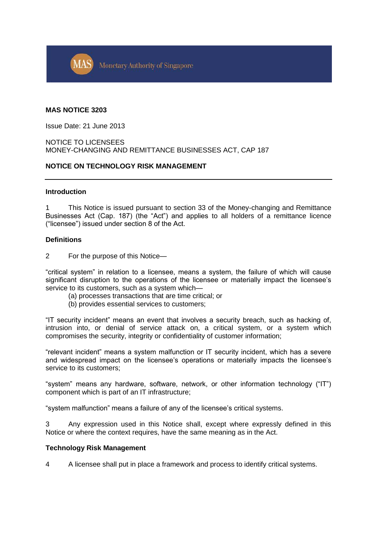

### **MAS NOTICE 3203**

Issue Date: 21 June 2013

## NOTICE TO LICENSEES MONEY-CHANGING AND REMITTANCE BUSINESSES ACT, CAP 187

# **NOTICE ON TECHNOLOGY RISK MANAGEMENT**

#### **Introduction**

1 This Notice is issued pursuant to section 33 of the Money-changing and Remittance Businesses Act (Cap. 187) (the "Act") and applies to all holders of a remittance licence ("licensee") issued under section 8 of the Act.

### **Definitions**

2 For the purpose of this Notice—

"critical system" in relation to a licensee, means a system, the failure of which will cause significant disruption to the operations of the licensee or materially impact the licensee's service to its customers, such as a system which—

- (a) processes transactions that are time critical; or
- (b) provides essential services to customers;

"IT security incident" means an event that involves a security breach, such as hacking of, intrusion into, or denial of service attack on, a critical system, or a system which compromises the security, integrity or confidentiality of customer information;

"relevant incident" means a system malfunction or IT security incident, which has a severe and widespread impact on the licensee's operations or materially impacts the licensee's service to its customers;

"system" means any hardware, software, network, or other information technology ("IT") component which is part of an IT infrastructure;

"system malfunction" means a failure of any of the licensee's critical systems.

3 Any expression used in this Notice shall, except where expressly defined in this Notice or where the context requires, have the same meaning as in the Act.

### **Technology Risk Management**

4 A licensee shall put in place a framework and process to identify critical systems.